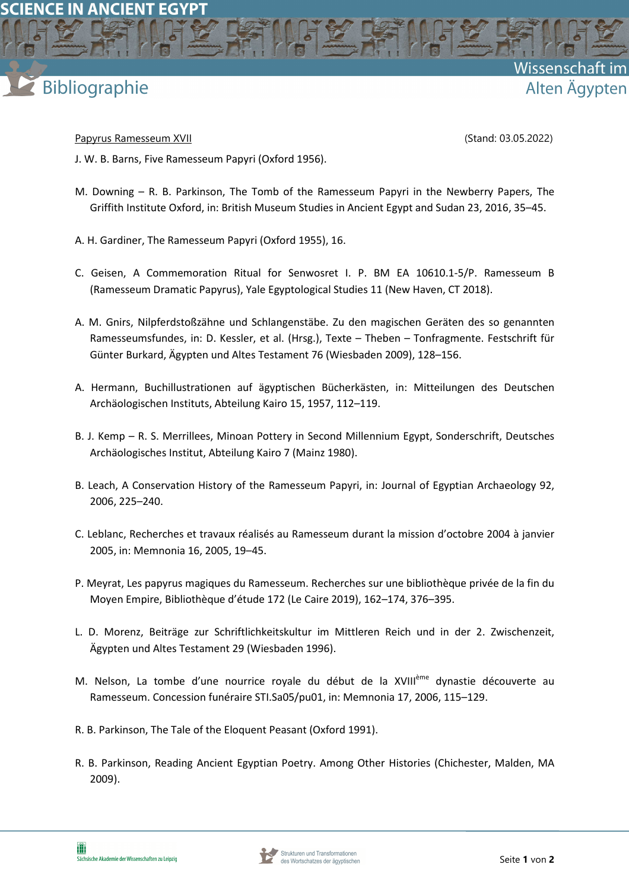



Wissenschaft

Alten Ägypten

- Papyrus Ramesseum XVII (Stand: 03.05.2022)
- J. W. B. Barns, Five Ramesseum Papyri (Oxford 1956).
- M. Downing R. B. Parkinson, The Tomb of the Ramesseum Papyri in the Newberry Papers, The Griffith Institute Oxford, in: British Museum Studies in Ancient Egypt and Sudan 23, 2016, 35–45.
- A. H. Gardiner, The Ramesseum Papyri (Oxford 1955), 16.
- C. Geisen, A Commemoration Ritual for Senwosret I. P. BM EA 10610.1-5/P. Ramesseum B (Ramesseum Dramatic Papyrus), Yale Egyptological Studies 11 (New Haven, CT 2018).
- A. M. Gnirs, Nilpferdstoßzähne und Schlangenstäbe. Zu den magischen Geräten des so genannten Ramesseumsfundes, in: D. Kessler, et al. (Hrsg.), Texte – Theben – Tonfragmente. Festschrift für Günter Burkard, Ägypten und Altes Testament 76 (Wiesbaden 2009), 128–156.
- A. Hermann, Buchillustrationen auf ägyptischen Bücherkästen, in: Mitteilungen des Deutschen Archäologischen Instituts, Abteilung Kairo 15, 1957, 112–119.
- B. J. Kemp R. S. Merrillees, Minoan Pottery in Second Millennium Egypt, Sonderschrift, Deutsches Archäologisches Institut, Abteilung Kairo 7 (Mainz 1980).
- B. Leach, A Conservation History of the Ramesseum Papyri, in: Journal of Egyptian Archaeology 92, 2006, 225–240.
- C. Leblanc, Recherches et travaux réalisés au Ramesseum durant la mission d'octobre 2004 à janvier 2005, in: Memnonia 16, 2005, 19–45.
- P. Meyrat, Les papyrus magiques du Ramesseum. Recherches sur une bibliothèque privée de la fin du Moyen Empire, Bibliothèque d'étude 172 (Le Caire 2019), 162–174, 376–395.
- L. D. Morenz, Beiträge zur Schriftlichkeitskultur im Mittleren Reich und in der 2. Zwischenzeit, Ägypten und Altes Testament 29 (Wiesbaden 1996).
- M. Nelson, La tombe d'une nourrice royale du début de la XVIII<sup>ème</sup> dynastie découverte au Ramesseum. Concession funéraire STI.Sa05/pu01, in: Memnonia 17, 2006, 115–129.
- R. B. Parkinson, The Tale of the Eloquent Peasant (Oxford 1991).
- R. B. Parkinson, Reading Ancient Egyptian Poetry. Among Other Histories (Chichester, Malden, MA 2009).